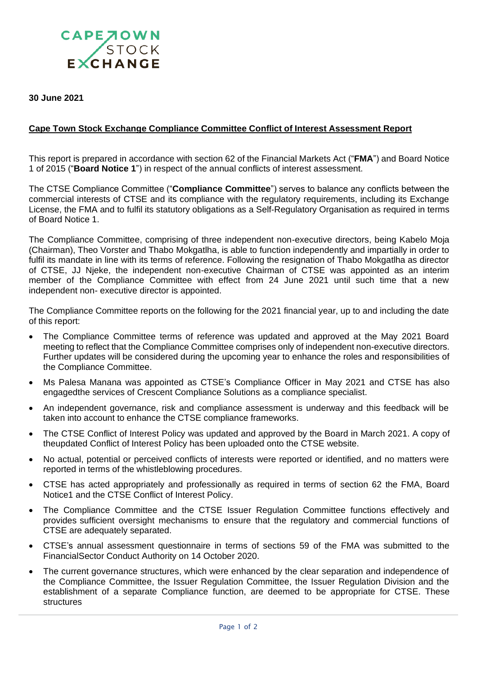

**30 June 2021**

## **Cape Town Stock Exchange Compliance Committee Conflict of Interest Assessment Report**

This report is prepared in accordance with section 62 of the Financial Markets Act ("**FMA**") and Board Notice 1 of 2015 ("**Board Notice 1**") in respect of the annual conflicts of interest assessment.

The CTSE Compliance Committee ("**Compliance Committee**") serves to balance any conflicts between the commercial interests of CTSE and its compliance with the regulatory requirements, including its Exchange License, the FMA and to fulfil its statutory obligations as a Self-Regulatory Organisation as required in terms of Board Notice 1.

The Compliance Committee, comprising of three independent non-executive directors, being Kabelo Moja (Chairman), Theo Vorster and Thabo Mokgatlha, is able to function independently and impartially in order to fulfil its mandate in line with its terms of reference. Following the resignation of Thabo Mokgatlha as director of CTSE, JJ Njeke, the independent non-executive Chairman of CTSE was appointed as an interim member of the Compliance Committee with effect from 24 June 2021 until such time that a new independent non- executive director is appointed.

The Compliance Committee reports on the following for the 2021 financial year, up to and including the date of this report:

- The Compliance Committee terms of reference was updated and approved at the May 2021 Board meeting to reflect that the Compliance Committee comprises only of independent non-executive directors. Further updates will be considered during the upcoming year to enhance the roles and responsibilities of the Compliance Committee.
- Ms Palesa Manana was appointed as CTSE's Compliance Officer in May 2021 and CTSE has also engagedthe services of Crescent Compliance Solutions as a compliance specialist.
- An independent governance, risk and compliance assessment is underway and this feedback will be taken into account to enhance the CTSE compliance frameworks.
- The CTSE Conflict of Interest Policy was updated and approved by the Board in March 2021. A copy of theupdated Conflict of Interest Policy has been uploaded onto the CTSE website.
- No actual, potential or perceived conflicts of interests were reported or identified, and no matters were reported in terms of the whistleblowing procedures.
- CTSE has acted appropriately and professionally as required in terms of section 62 the FMA, Board Notice1 and the CTSE Conflict of Interest Policy.
- The Compliance Committee and the CTSE Issuer Regulation Committee functions effectively and provides sufficient oversight mechanisms to ensure that the regulatory and commercial functions of CTSE are adequately separated.
- CTSE's annual assessment questionnaire in terms of sections 59 of the FMA was submitted to the FinancialSector Conduct Authority on 14 October 2020.
- The current governance structures, which were enhanced by the clear separation and independence of the Compliance Committee, the Issuer Regulation Committee, the Issuer Regulation Division and the establishment of a separate Compliance function, are deemed to be appropriate for CTSE. These structures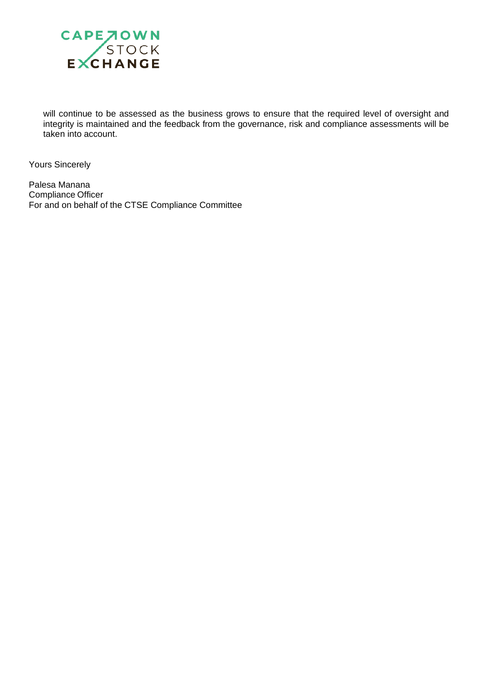

will continue to be assessed as the business grows to ensure that the required level of oversight and integrity is maintained and the feedback from the governance, risk and compliance assessments will be taken into account.

Yours Sincerely

Palesa Manana Compliance Officer For and on behalf of the CTSE Compliance Committee